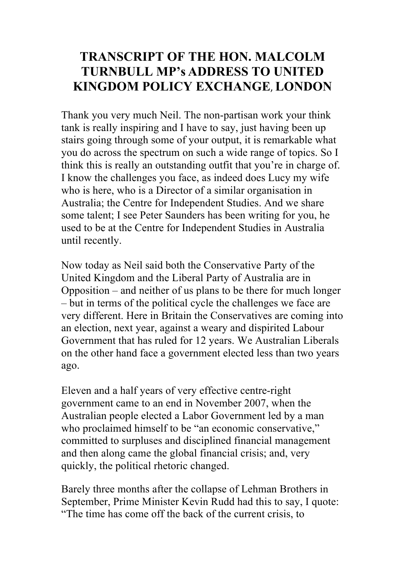## **TRANSCRIPT OF THE HON. MALCOLM TURNBULL MP's ADDRESS TO UNITED KINGDOM POLICY EXCHANGE**, **LONDON**

Thank you very much Neil. The non-partisan work your think tank is really inspiring and I have to say, just having been up stairs going through some of your output, it is remarkable what you do across the spectrum on such a wide range of topics. So I think this is really an outstanding outfit that you're in charge of. I know the challenges you face, as indeed does Lucy my wife who is here, who is a Director of a similar organisation in Australia; the Centre for Independent Studies. And we share some talent; I see Peter Saunders has been writing for you, he used to be at the Centre for Independent Studies in Australia until recently.

Now today as Neil said both the Conservative Party of the United Kingdom and the Liberal Party of Australia are in Opposition – and neither of us plans to be there for much longer – but in terms of the political cycle the challenges we face are very different. Here in Britain the Conservatives are coming into an election, next year, against a weary and dispirited Labour Government that has ruled for 12 years. We Australian Liberals on the other hand face a government elected less than two years ago.

Eleven and a half years of very effective centre-right government came to an end in November 2007, when the Australian people elected a Labor Government led by a man who proclaimed himself to be "an economic conservative," committed to surpluses and disciplined financial management and then along came the global financial crisis; and, very quickly, the political rhetoric changed.

Barely three months after the collapse of Lehman Brothers in September, Prime Minister Kevin Rudd had this to say, I quote: "The time has come off the back of the current crisis, to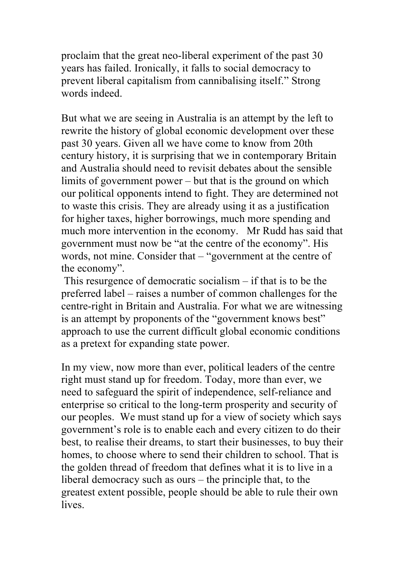proclaim that the great neo-liberal experiment of the past 30 years has failed. Ironically, it falls to social democracy to prevent liberal capitalism from cannibalising itself." Strong words indeed.

But what we are seeing in Australia is an attempt by the left to rewrite the history of global economic development over these past 30 years. Given all we have come to know from 20th century history, it is surprising that we in contemporary Britain and Australia should need to revisit debates about the sensible limits of government power – but that is the ground on which our political opponents intend to fight. They are determined not to waste this crisis. They are already using it as a justification for higher taxes, higher borrowings, much more spending and much more intervention in the economy. Mr Rudd has said that government must now be "at the centre of the economy". His words, not mine. Consider that – "government at the centre of the economy".

This resurgence of democratic socialism – if that is to be the preferred label – raises a number of common challenges for the centre-right in Britain and Australia. For what we are witnessing is an attempt by proponents of the "government knows best" approach to use the current difficult global economic conditions as a pretext for expanding state power.

In my view, now more than ever, political leaders of the centre right must stand up for freedom. Today, more than ever, we need to safeguard the spirit of independence, self-reliance and enterprise so critical to the long-term prosperity and security of our peoples. We must stand up for a view of society which says government's role is to enable each and every citizen to do their best, to realise their dreams, to start their businesses, to buy their homes, to choose where to send their children to school. That is the golden thread of freedom that defines what it is to live in a liberal democracy such as ours – the principle that, to the greatest extent possible, people should be able to rule their own **lives**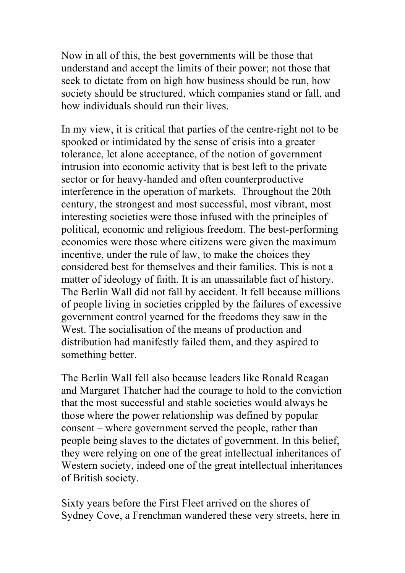Now in all of this, the best governments will be those that understand and accept the limits of their power; not those that seek to dictate from on high how business should be run, how society should be structured, which companies stand or fall, and how individuals should run their lives.

In my view, it is critical that parties of the centre-right not to be spooked or intimidated by the sense of crisis into a greater tolerance, let alone acceptance, of the notion of government intrusion into economic activity that is best left to the private sector or for heavy-handed and often counterproductive interference in the operation of markets. Throughout the 20th century, the strongest and most successful, most vibrant, most interesting societies were those infused with the principles of political, economic and religious freedom. The best-performing economies were those where citizens were given the maximum incentive, under the rule of law, to make the choices they considered best for themselves and their families. This is not a matter of ideology of faith. It is an unassailable fact of history. The Berlin Wall did not fall by accident. It fell because millions of people living in societies crippled by the failures of excessive government control yearned for the freedoms they saw in the West. The socialisation of the means of production and distribution had manifestly failed them, and they aspired to something better.

The Berlin Wall fell also because leaders like Ronald Reagan and Margaret Thatcher had the courage to hold to the conviction that the most successful and stable societies would always be those where the power relationship was defined by popular consent – where government served the people, rather than people being slaves to the dictates of government. In this belief, they were relying on one of the great intellectual inheritances of Western society, indeed one of the great intellectual inheritances of British society.

Sixty years before the First Fleet arrived on the shores of Sydney Cove, a Frenchman wandered these very streets, here in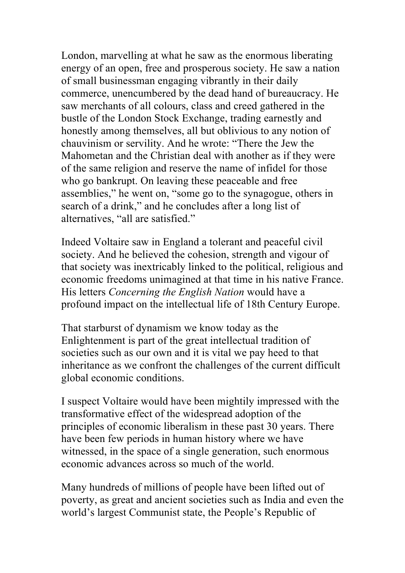London, marvelling at what he saw as the enormous liberating energy of an open, free and prosperous society. He saw a nation of small businessman engaging vibrantly in their daily commerce, unencumbered by the dead hand of bureaucracy. He saw merchants of all colours, class and creed gathered in the bustle of the London Stock Exchange, trading earnestly and honestly among themselves, all but oblivious to any notion of chauvinism or servility. And he wrote: "There the Jew the Mahometan and the Christian deal with another as if they were of the same religion and reserve the name of infidel for those who go bankrupt. On leaving these peaceable and free assemblies," he went on, "some go to the synagogue, others in search of a drink," and he concludes after a long list of alternatives, "all are satisfied."

Indeed Voltaire saw in England a tolerant and peaceful civil society. And he believed the cohesion, strength and vigour of that society was inextricably linked to the political, religious and economic freedoms unimagined at that time in his native France. His letters *Concerning the English Nation* would have a profound impact on the intellectual life of 18th Century Europe.

That starburst of dynamism we know today as the Enlightenment is part of the great intellectual tradition of societies such as our own and it is vital we pay heed to that inheritance as we confront the challenges of the current difficult global economic conditions.

I suspect Voltaire would have been mightily impressed with the transformative effect of the widespread adoption of the principles of economic liberalism in these past 30 years. There have been few periods in human history where we have witnessed, in the space of a single generation, such enormous economic advances across so much of the world.

Many hundreds of millions of people have been lifted out of poverty, as great and ancient societies such as India and even the world's largest Communist state, the People's Republic of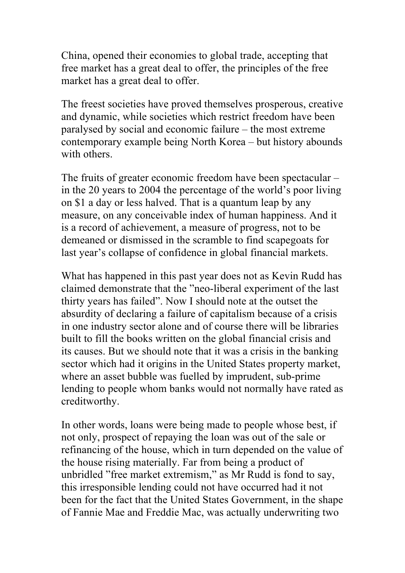China, opened their economies to global trade, accepting that free market has a great deal to offer, the principles of the free market has a great deal to offer.

The freest societies have proved themselves prosperous, creative and dynamic, while societies which restrict freedom have been paralysed by social and economic failure – the most extreme contemporary example being North Korea – but history abounds with others.

The fruits of greater economic freedom have been spectacular – in the 20 years to 2004 the percentage of the world's poor living on \$1 a day or less halved. That is a quantum leap by any measure, on any conceivable index of human happiness. And it is a record of achievement, a measure of progress, not to be demeaned or dismissed in the scramble to find scapegoats for last year's collapse of confidence in global financial markets.

What has happened in this past year does not as Kevin Rudd has claimed demonstrate that the "neo-liberal experiment of the last thirty years has failed". Now I should note at the outset the absurdity of declaring a failure of capitalism because of a crisis in one industry sector alone and of course there will be libraries built to fill the books written on the global financial crisis and its causes. But we should note that it was a crisis in the banking sector which had it origins in the United States property market, where an asset bubble was fuelled by imprudent, sub-prime lending to people whom banks would not normally have rated as creditworthy.

In other words, loans were being made to people whose best, if not only, prospect of repaying the loan was out of the sale or refinancing of the house, which in turn depended on the value of the house rising materially. Far from being a product of unbridled "free market extremism," as Mr Rudd is fond to say, this irresponsible lending could not have occurred had it not been for the fact that the United States Government, in the shape of Fannie Mae and Freddie Mac, was actually underwriting two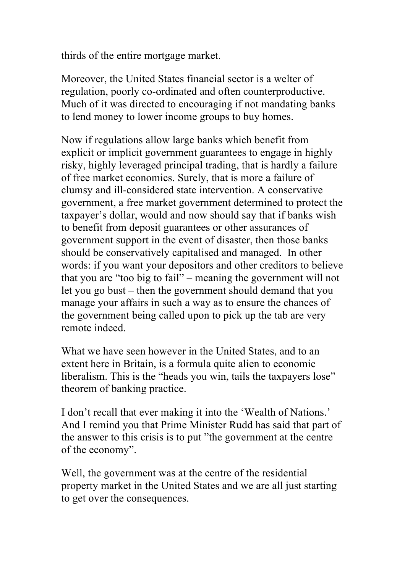thirds of the entire mortgage market.

Moreover, the United States financial sector is a welter of regulation, poorly co-ordinated and often counterproductive. Much of it was directed to encouraging if not mandating banks to lend money to lower income groups to buy homes.

Now if regulations allow large banks which benefit from explicit or implicit government guarantees to engage in highly risky, highly leveraged principal trading, that is hardly a failure of free market economics. Surely, that is more a failure of clumsy and ill-considered state intervention. A conservative government, a free market government determined to protect the taxpayer's dollar, would and now should say that if banks wish to benefit from deposit guarantees or other assurances of government support in the event of disaster, then those banks should be conservatively capitalised and managed. In other words: if you want your depositors and other creditors to believe that you are "too big to fail" – meaning the government will not let you go bust – then the government should demand that you manage your affairs in such a way as to ensure the chances of the government being called upon to pick up the tab are very remote indeed.

What we have seen however in the United States, and to an extent here in Britain, is a formula quite alien to economic liberalism. This is the "heads you win, tails the taxpayers lose" theorem of banking practice.

I don't recall that ever making it into the 'Wealth of Nations.' And I remind you that Prime Minister Rudd has said that part of the answer to this crisis is to put "the government at the centre of the economy".

Well, the government was at the centre of the residential property market in the United States and we are all just starting to get over the consequences.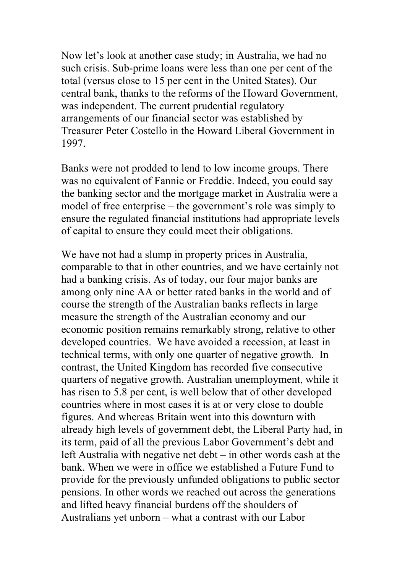Now let's look at another case study; in Australia, we had no such crisis. Sub-prime loans were less than one per cent of the total (versus close to 15 per cent in the United States). Our central bank, thanks to the reforms of the Howard Government, was independent. The current prudential regulatory arrangements of our financial sector was established by Treasurer Peter Costello in the Howard Liberal Government in 1997.

Banks were not prodded to lend to low income groups. There was no equivalent of Fannie or Freddie. Indeed, you could say the banking sector and the mortgage market in Australia were a model of free enterprise – the government's role was simply to ensure the regulated financial institutions had appropriate levels of capital to ensure they could meet their obligations.

We have not had a slump in property prices in Australia, comparable to that in other countries, and we have certainly not had a banking crisis. As of today, our four major banks are among only nine AA or better rated banks in the world and of course the strength of the Australian banks reflects in large measure the strength of the Australian economy and our economic position remains remarkably strong, relative to other developed countries. We have avoided a recession, at least in technical terms, with only one quarter of negative growth. In contrast, the United Kingdom has recorded five consecutive quarters of negative growth. Australian unemployment, while it has risen to 5.8 per cent, is well below that of other developed countries where in most cases it is at or very close to double figures. And whereas Britain went into this downturn with already high levels of government debt, the Liberal Party had, in its term, paid of all the previous Labor Government's debt and left Australia with negative net debt – in other words cash at the bank. When we were in office we established a Future Fund to provide for the previously unfunded obligations to public sector pensions. In other words we reached out across the generations and lifted heavy financial burdens off the shoulders of Australians yet unborn – what a contrast with our Labor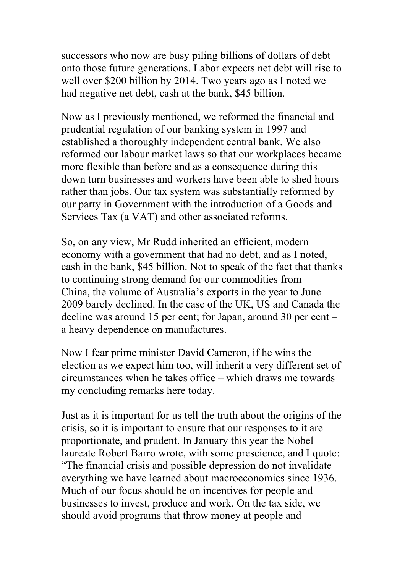successors who now are busy piling billions of dollars of debt onto those future generations. Labor expects net debt will rise to well over \$200 billion by 2014. Two years ago as I noted we had negative net debt, cash at the bank, \$45 billion.

Now as I previously mentioned, we reformed the financial and prudential regulation of our banking system in 1997 and established a thoroughly independent central bank. We also reformed our labour market laws so that our workplaces became more flexible than before and as a consequence during this down turn businesses and workers have been able to shed hours rather than jobs. Our tax system was substantially reformed by our party in Government with the introduction of a Goods and Services Tax (a VAT) and other associated reforms.

So, on any view, Mr Rudd inherited an efficient, modern economy with a government that had no debt, and as I noted, cash in the bank, \$45 billion. Not to speak of the fact that thanks to continuing strong demand for our commodities from China, the volume of Australia's exports in the year to June 2009 barely declined. In the case of the UK, US and Canada the decline was around 15 per cent; for Japan, around 30 per cent – a heavy dependence on manufactures.

Now I fear prime minister David Cameron, if he wins the election as we expect him too, will inherit a very different set of circumstances when he takes office – which draws me towards my concluding remarks here today.

Just as it is important for us tell the truth about the origins of the crisis, so it is important to ensure that our responses to it are proportionate, and prudent. In January this year the Nobel laureate Robert Barro wrote, with some prescience, and I quote: "The financial crisis and possible depression do not invalidate everything we have learned about macroeconomics since 1936. Much of our focus should be on incentives for people and businesses to invest, produce and work. On the tax side, we should avoid programs that throw money at people and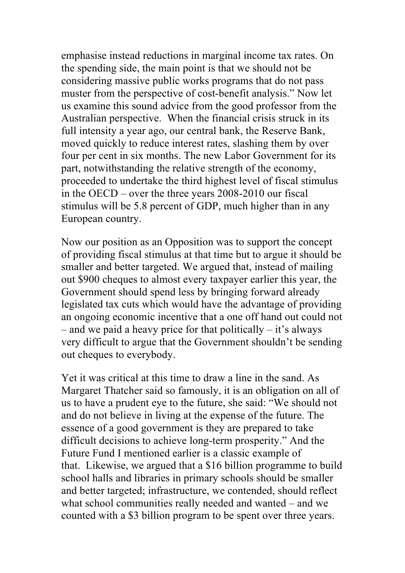emphasise instead reductions in marginal income tax rates. On the spending side, the main point is that we should not be considering massive public works programs that do not pass muster from the perspective of cost-benefit analysis." Now let us examine this sound advice from the good professor from the Australian perspective. When the financial crisis struck in its full intensity a year ago, our central bank, the Reserve Bank, moved quickly to reduce interest rates, slashing them by over four per cent in six months. The new Labor Government for its part, notwithstanding the relative strength of the economy, proceeded to undertake the third highest level of fiscal stimulus in the OECD – over the three years 2008-2010 our fiscal stimulus will be 5.8 percent of GDP, much higher than in any European country.

Now our position as an Opposition was to support the concept of providing fiscal stimulus at that time but to argue it should be smaller and better targeted. We argued that, instead of mailing out \$900 cheques to almost every taxpayer earlier this year, the Government should spend less by bringing forward already legislated tax cuts which would have the advantage of providing an ongoing economic incentive that a one off hand out could not – and we paid a heavy price for that politically – it's always very difficult to argue that the Government shouldn't be sending out cheques to everybody.

Yet it was critical at this time to draw a line in the sand. As Margaret Thatcher said so famously, it is an obligation on all of us to have a prudent eye to the future, she said: "We should not and do not believe in living at the expense of the future. The essence of a good government is they are prepared to take difficult decisions to achieve long-term prosperity." And the Future Fund I mentioned earlier is a classic example of that. Likewise, we argued that a \$16 billion programme to build school halls and libraries in primary schools should be smaller and better targeted; infrastructure, we contended, should reflect what school communities really needed and wanted – and we counted with a \$3 billion program to be spent over three years.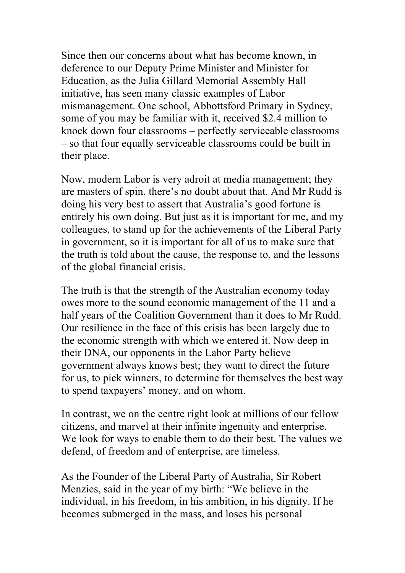Since then our concerns about what has become known, in deference to our Deputy Prime Minister and Minister for Education, as the Julia Gillard Memorial Assembly Hall initiative, has seen many classic examples of Labor mismanagement. One school, Abbottsford Primary in Sydney, some of you may be familiar with it, received \$2.4 million to knock down four classrooms – perfectly serviceable classrooms – so that four equally serviceable classrooms could be built in their place.

Now, modern Labor is very adroit at media management; they are masters of spin, there's no doubt about that. And Mr Rudd is doing his very best to assert that Australia's good fortune is entirely his own doing. But just as it is important for me, and my colleagues, to stand up for the achievements of the Liberal Party in government, so it is important for all of us to make sure that the truth is told about the cause, the response to, and the lessons of the global financial crisis.

The truth is that the strength of the Australian economy today owes more to the sound economic management of the 11 and a half years of the Coalition Government than it does to Mr Rudd. Our resilience in the face of this crisis has been largely due to the economic strength with which we entered it. Now deep in their DNA, our opponents in the Labor Party believe government always knows best; they want to direct the future for us, to pick winners, to determine for themselves the best way to spend taxpayers' money, and on whom.

In contrast, we on the centre right look at millions of our fellow citizens, and marvel at their infinite ingenuity and enterprise. We look for ways to enable them to do their best. The values we defend, of freedom and of enterprise, are timeless.

As the Founder of the Liberal Party of Australia, Sir Robert Menzies, said in the year of my birth: "We believe in the individual, in his freedom, in his ambition, in his dignity. If he becomes submerged in the mass, and loses his personal